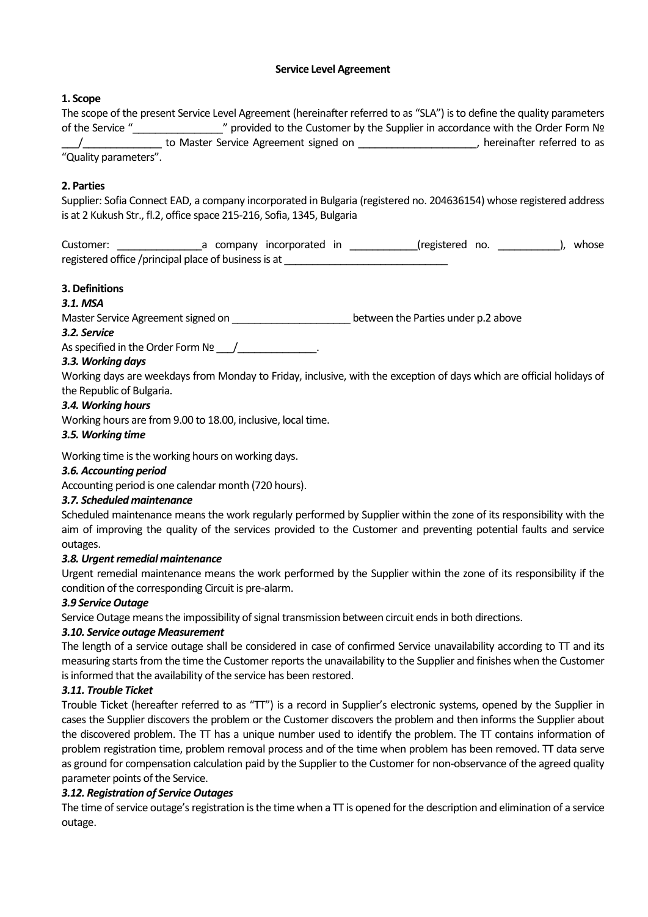## **Service Level Agreement**

# **1. Scope**

The scope of the present Service Level Agreement (hereinafter referred to as "SLA") is to define the quality parameters of the Service "\_\_\_\_\_\_\_\_\_\_\_\_\_\_\_\_" provided to the Customer by the Supplier in accordance with the Order Form № \_\_\_/\_\_\_\_\_\_\_\_\_\_\_\_\_\_ to Master Service Agreement signed on \_\_\_\_\_\_\_\_\_\_\_\_\_\_\_\_\_\_\_\_\_, hereinafter referred to as "Quality parameters".

# **2. Parties**

Supplier: Sofia Connect EAD, a company incorporated in Bulgaria (registered no. 204636154) whose registered address is at 2 Kukush Str., fl.2, office space 215-216, Sofia, 1345, Bulgaria

Customer: \_\_\_\_\_\_\_\_\_\_\_\_\_\_\_\_\_\_\_a company incorporated in \_\_\_\_\_\_\_\_\_\_\_\_\_(registered no. \_\_\_\_\_\_\_\_\_\_\_\_\_), whose registered office /principal place of business is at

# **3. Definitions**

# *3.1. MSA*

Master Service Agreement signed on \_\_\_\_\_\_\_\_\_\_\_\_\_\_\_\_\_\_\_\_\_\_\_\_\_\_between the Parties under p.2 above

# *3.2. Service*

As specified in the Order Form  $N_2$  /  $\qquad \qquad$  .

# *3.3. Working days*

Working days are weekdays from Monday to Friday, inclusive, with the exception of days which are official holidays of the Republic of Bulgaria.

## *3.4. Working hours*

Working hours are from 9.00 to 18.00, inclusive, local time.

## *3.5. Working time*

Working time is the working hours on working days.

# *3.6. Accounting period*

Accounting period is one calendar month (720 hours).

# *3.7. Scheduled maintenance*

Scheduled maintenance means the work regularly performed by Supplier within the zone of its responsibility with the aim of improving the quality of the services provided to the Customer and preventing potential faults and service outages.

# *3.8. Urgent remedial maintenance*

Urgent remedial maintenance means the work performed by the Supplier within the zone of its responsibility if the condition of the corresponding Circuit is pre-alarm.

#### *3.9 Service Outage*

Service Outage means the impossibility of signal transmission between circuit ends in both directions.

# *3.10. Service outage Measurement*

The length of a service outage shall be considered in case of confirmed Service unavailability according to TT and its measuring starts from the time the Customer reports the unavailability to the Supplier and finishes when the Customer is informed that the availability of the service has been restored.

#### *3.11. Trouble Ticket*

Trouble Ticket (hereafter referred to as "TT") is a record in Supplier's electronic systems, opened by the Supplier in cases the Supplier discovers the problem or the Customer discovers the problem and then informs the Supplier about the discovered problem. The TT has a unique number used to identify the problem. The TT contains information of problem registration time, problem removal process and of the time when problem has been removed. TT data serve as ground for compensation calculation paid by the Supplier to the Customer for non-observance of the agreed quality parameter points of the Service.

# *3.12. Registration of Service Outages*

The time of service outage's registration is the time when a  $TT$  is opened for the description and elimination of a service outage.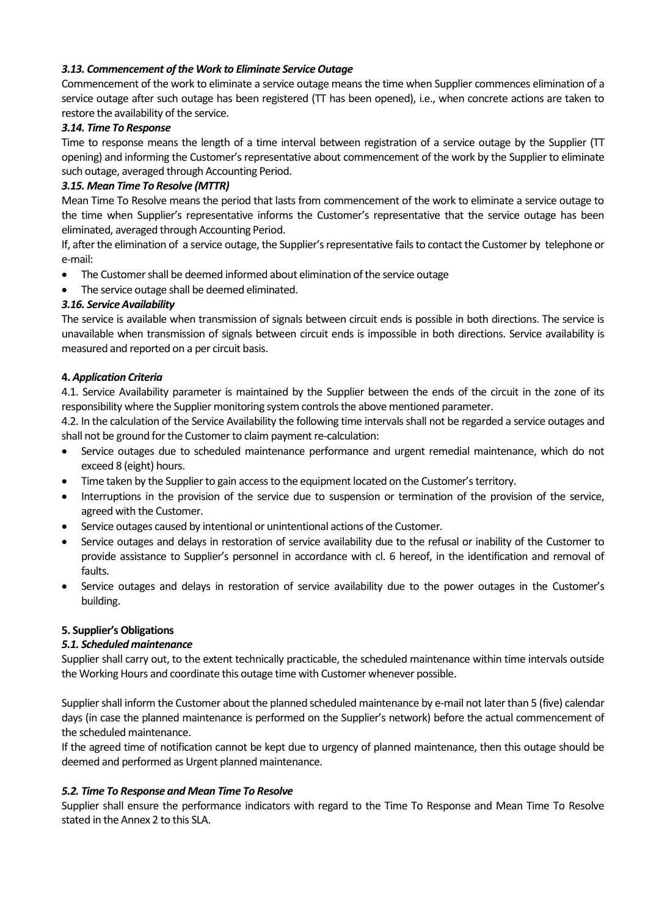## *3.13. Commencement of the Work to Eliminate Service Outage*

Commencement of the work to eliminate a service outage means the time when Supplier commences elimination of a service outage after such outage has been registered (TT has been opened), i.e., when concrete actions are taken to restore the availability of the service.

#### *3.14. Time To Response*

Time to response means the length of a time interval between registration of a service outage by the Supplier (TT opening) and informing the Customer's representative about commencement of the work by the Supplier to eliminate such outage, averaged through Accounting Period.

## *3.15. Mean Time To Resolve (MTTR)*

Mean Time To Resolve means the period that lasts from commencement of the work to eliminate a service outage to the time when Supplier's representative informs the Customer's representative that the service outage has been eliminated, averaged through Accounting Period.

If, after the elimination of a service outage, the Supplier's representative fails to contact the Customer by telephone or e-mail:

- The Customer shall be deemed informed about elimination of the service outage
- The service outage shall be deemed eliminated.

## *3.16. Service Availability*

The service is available when transmission of signals between circuit ends is possible in both directions. The service is unavailable when transmission of signals between circuit ends is impossible in both directions. Service availability is measured and reported on a per circuit basis.

#### **4.** *Application Criteria*

4.1. Service Availability parameter is maintained by the Supplier between the ends of the circuit in the zone of its responsibility where the Supplier monitoring system controls the above mentioned parameter.

4.2. In the calculation of the Service Availability the following time intervals shall not be regarded a service outages and shall not be ground for the Customer to claim payment re-calculation:

- Service outages due to scheduled maintenance performance and urgent remedial maintenance, which do not exceed 8 (eight) hours.
- Time taken by the Supplier to gain access to the equipment located on the Customer's territory.
- Interruptions in the provision of the service due to suspension or termination of the provision of the service, agreed with the Customer.
- Service outages caused by intentional or unintentional actions of the Customer.
- Service outages and delays in restoration of service availability due to the refusal or inability of the Customer to provide assistance to Supplier's personnel in accordance with cl. 6 hereof, in the identification and removal of faults.
- Service outages and delays in restoration of service availability due to the power outages in the Customer's building.

# **5. Supplier's Obligations**

#### *5.1. Scheduled maintenance*

Supplier shall carry out, to the extent technically practicable, the scheduled maintenance within time intervals outside the Working Hours and coordinate this outage time with Customer whenever possible.

Supplier shall inform the Customer about the planned scheduled maintenance by e-mail not later than 5 (five) calendar days (in case the planned maintenance is performed on the Supplier's network) before the actual commencement of the scheduled maintenance.

If the agreed time of notification cannot be kept due to urgency of planned maintenance, then this outage should be deemed and performed as Urgent planned maintenance.

#### *5.2. Time To Response and Mean Time To Resolve*

Supplier shall ensure the performance indicators with regard to the Time To Response and Mean Time To Resolve stated in the Annex 2 to this SLA.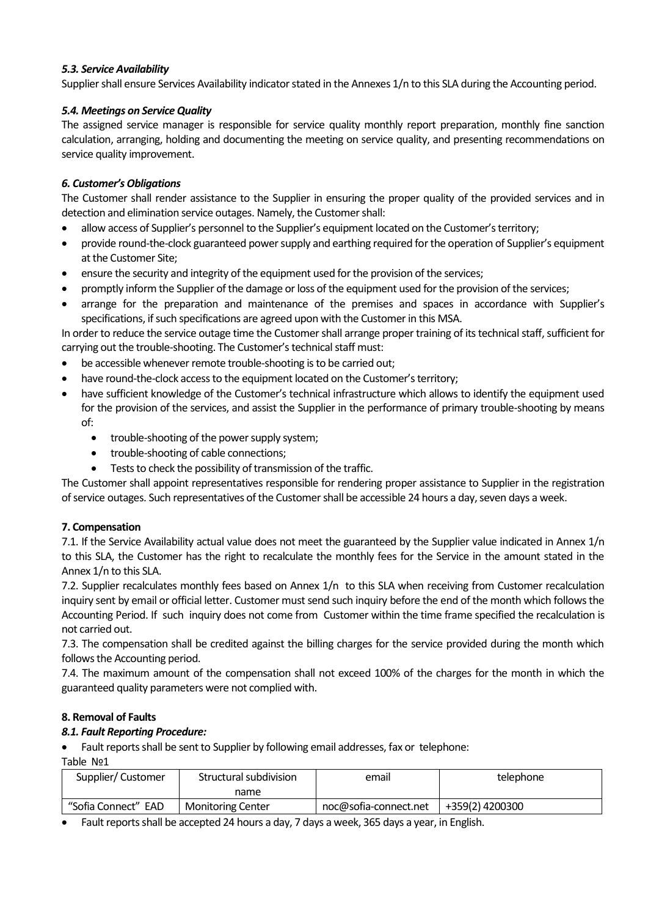## *5.3. Service Availability*

Supplier shall ensure Services Availability indicator stated in the Annexes 1/n to this SLA during the Accounting period.

## *5.4. Meetings on Service Quality*

The assigned service manager is responsible for service quality monthly report preparation, monthly fine sanction calculation, arranging, holding and documenting the meeting on service quality, and presenting recommendations on service quality improvement.

#### *6. Customer's Obligations*

The Customer shall render assistance to the Supplier in ensuring the proper quality of the provided services and in detection and elimination service outages. Namely, the Customer shall:

- allow access of Supplier's personnel to the Supplier's equipment located on the Customer's territory;
- provide round-the-clock guaranteed power supply and earthing required for the operation of Supplier's equipment at the Customer Site;
- ensure the security and integrity of the equipment used for the provision of the services;
- promptly inform the Supplier of the damage or loss of the equipment used for the provision of the services;
- arrange for the preparation and maintenance of the premises and spaces in accordance with Supplier's specifications, if such specifications are agreed upon with the Customer in this MSA.

In order to reduce the service outage time the Customer shall arrange proper training of its technical staff, sufficient for carrying out the trouble-shooting. The Customer's technical staff must:

- be accessible whenever remote trouble-shooting is to be carried out;
- have round-the-clock access to the equipment located on the Customer's territory;
- have sufficient knowledge of the Customer's technical infrastructure which allows to identify the equipment used for the provision of the services, and assist the Supplier in the performance of primary trouble-shooting by means of:
	- trouble-shooting of the power supply system;
	- trouble-shooting of cable connections;
	- Tests to check the possibility of transmission of the traffic.

The Customer shall appoint representatives responsible for rendering proper assistance to Supplier in the registration of service outages. Such representatives of the Customershall be accessible 24 hours a day, seven days a week.

# **7. Compensation**

7.1. If the Service Availability actual value does not meet the guaranteed by the Supplier value indicated in Annex 1/n to this SLA, the Customer has the right to recalculate the monthly fees for the Service in the amount stated in the Annex 1/n to this SLA.

7.2. Supplier recalculates monthly fees based on Annex 1/n to this SLA when receiving from Customer recalculation inquiry sent by email or official letter. Customer must send such inquiry before the end of the month which follows the Accounting Period. If such inquiry does not come from Customer within the time frame specified the recalculation is not carried out.

7.3. The compensation shall be credited against the billing charges for the service provided during the month which follows the Accounting period.

7.4. The maximum amount of the compensation shall not exceed 100% of the charges for the month in which the guaranteed quality parameters were not complied with.

# **8. Removal of Faults**

#### *8.1. Fault Reporting Procedure:*

Fault reports shall be sent to Supplier by following email addresses, fax or telephone:

Table №1

| Structural subdivision<br>Supplier/Customer |                          | email                 | telephone       |  |
|---------------------------------------------|--------------------------|-----------------------|-----------------|--|
|                                             | name                     |                       |                 |  |
| "Sofia Connect" EAD                         | <b>Monitoring Center</b> | noc@sofia-connect.net | +359(2) 4200300 |  |

Fault reports shall be accepted 24 hours a day, 7 days a week, 365 days a year, in English.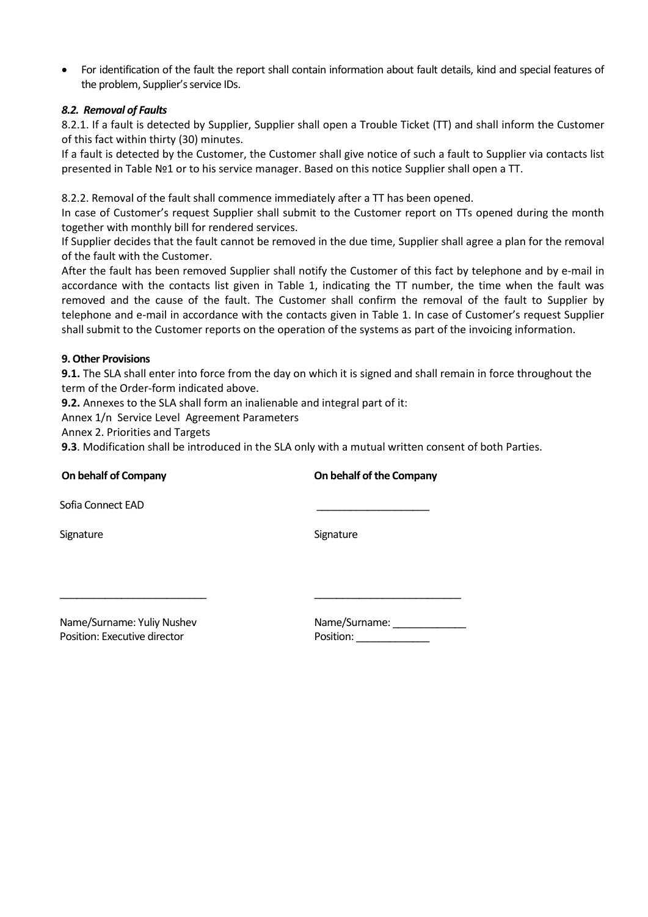For identification of the fault the report shall contain information about fault details, kind and special features of the problem, Supplier's service IDs.

## *8.2. Removal of Faults*

8.2.1. If a fault is detected by Supplier, Supplier shall open a Trouble Ticket (TT) and shall inform the Customer of this fact within thirty (30) minutes.

If a fault is detected by the Customer, the Customer shall give notice of such a fault to Supplier via contacts list presented in Table №1 or to his service manager. Based on this notice Supplier shall open a TT.

8.2.2. Removal of the fault shall commence immediately after a TT has been opened.

In case of Customer's request Supplier shall submit to the Customer report on TTs opened during the month together with monthly bill for rendered services.

If Supplier decides that the fault cannot be removed in the due time, Supplier shall agree a plan for the removal of the fault with the Customer.

After the fault has been removed Supplier shall notify the Customer of this fact by telephone and by e-mail in accordance with the contacts list given in Table 1, indicating the TT number, the time when the fault was removed and the cause of the fault. The Customer shall confirm the removal of the fault to Supplier by telephone and e-mail in accordance with the contacts given in Table 1. In case of Customer's request Supplier shall submit to the Customer reports on the operation of the systems as part of the invoicing information.

#### **9. Other Provisions**

**9.1.** The SLA shall enter into force from the day on which it is signed and shall remain in force throughout the term of the Order-form indicated above.

**9.2.** Annexes to the SLA shall form an inalienable and integral part of it:

Annex 1/n Service Level Agreement Parameters

Annex 2. Priorities and Targets

**9.3**. Modification shall be introduced in the SLA only with a mutual written consent of both Parties.

| On behalf of Company                                       | On behalf of the Company   |  |
|------------------------------------------------------------|----------------------------|--|
| Sofia Connect EAD                                          |                            |  |
| Signature                                                  | Signature                  |  |
| Name/Surname: Yuliy Nushev<br>Position: Executive director | Name/Surname:<br>Position: |  |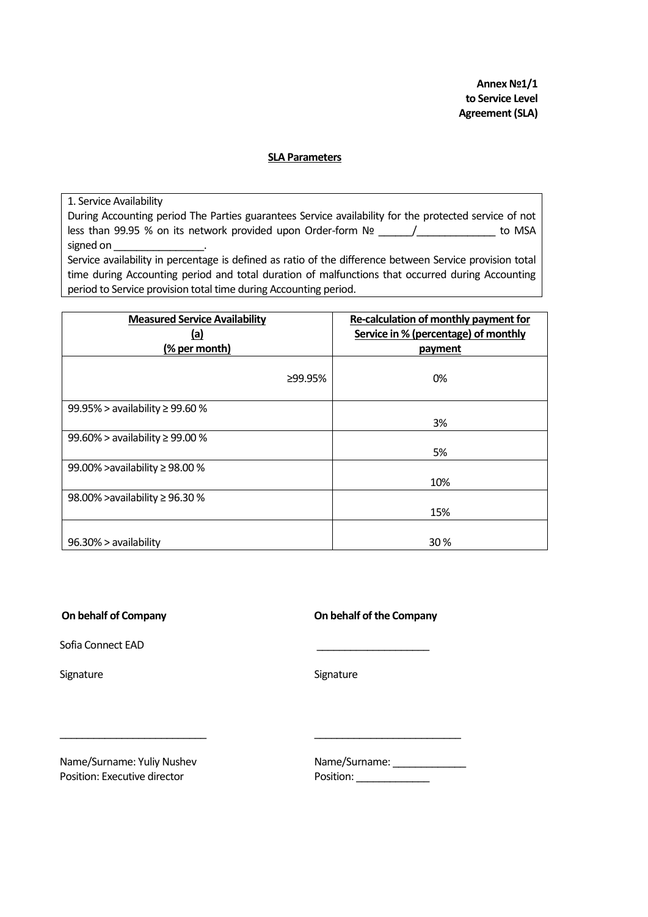**Annex №1/1 to Service Level Agreement(SLA)**

#### **SLA Parameters**

1. Service Availability

During Accounting period The Parties guarantees Service availability for the protected service of not less than 99.95 % on its network provided upon Order-form № \_\_\_\_\_\_/\_\_\_\_\_\_\_\_\_\_\_\_\_\_ to MSA signed on

Service availability in percentage is defined as ratio of the difference between Service provision total time during Accounting period and total duration of malfunctions that occurred during Accounting period to Service provision total time during Accounting period.

| <b>Measured Service Availability</b><br><u>(a)</u> |         | Re-calculation of monthly payment for<br>Service in % (percentage) of monthly |
|----------------------------------------------------|---------|-------------------------------------------------------------------------------|
| (% per month)                                      |         | payment                                                                       |
|                                                    | ≥99.95% | 0%                                                                            |
| 99.95% > availability ≥ 99.60 %                    |         |                                                                               |
|                                                    |         | 3%                                                                            |
| 99.60% > availability ≥ 99.00 %                    |         |                                                                               |
|                                                    |         | 5%                                                                            |
| 99.00% > availability ≥ 98.00 %                    |         |                                                                               |
|                                                    |         | 10%                                                                           |
| 98.00% > availability ≥ 96.30 %                    |         |                                                                               |
|                                                    |         | 15%                                                                           |
|                                                    |         |                                                                               |
| 96.30% > availability                              |         | 30%                                                                           |

**On behalf of Company** 

Sofia Connect EAD

Signature

|  |  |  |  | On behalf of the Company |
|--|--|--|--|--------------------------|
|--|--|--|--|--------------------------|

Signature

Position: Executive director example and Position: \_\_\_\_\_\_\_\_\_\_\_\_\_\_\_\_\_\_\_\_\_\_\_\_\_\_\_\_\_

\_\_\_\_\_\_\_\_\_\_\_\_\_\_\_\_\_\_\_\_\_\_\_\_\_\_

Name/Surname: Yuliy Nushev Name/Surname: \_\_\_\_\_\_\_\_\_\_\_\_\_

\_\_\_\_\_\_\_\_\_\_\_\_\_\_\_\_\_\_\_\_\_\_\_\_\_\_